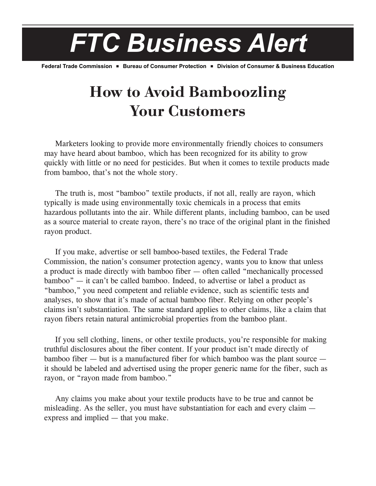## *FTC Business Alert*

**Federal Trade Commission • Bureau of Consumer Protection • Division of Consumer & Business Education** 

## **How to Avoid Bamboozling Your Customers**

Marketers looking to provide more environmentally friendly choices to consumers may have heard about bamboo, which has been recognized for its ability to grow quickly with little or no need for pesticides. But when it comes to textile products made from bamboo, that's not the whole story.

The truth is, most "bamboo" textile products, if not all, really are rayon, which typically is made using environmentally toxic chemicals in a process that emits hazardous pollutants into the air. While different plants, including bamboo, can be used as a source material to create rayon, there's no trace of the original plant in the finished rayon product.

If you make, advertise or sell bamboo-based textiles, the Federal Trade Commission, the nation's consumer protection agency, wants you to know that unless a product is made directly with bamboo fiber — often called "mechanically processed bamboo" — it can't be called bamboo. Indeed, to advertise or label a product as "bamboo," you need competent and reliable evidence, such as scientific tests and analyses, to show that it's made of actual bamboo fiber. Relying on other people's claims isn't substantiation. The same standard applies to other claims, like a claim that rayon fibers retain natural antimicrobial properties from the bamboo plant.

If you sell clothing, linens, or other textile products, you're responsible for making truthful disclosures about the fiber content. If your product isn't made directly of bamboo fiber — but is a manufactured fiber for which bamboo was the plant source it should be labeled and advertised using the proper generic name for the fiber, such as rayon, or "rayon made from bamboo."

Any claims you make about your textile products have to be true and cannot be misleading. As the seller, you must have substantiation for each and every claim express and implied — that you make.